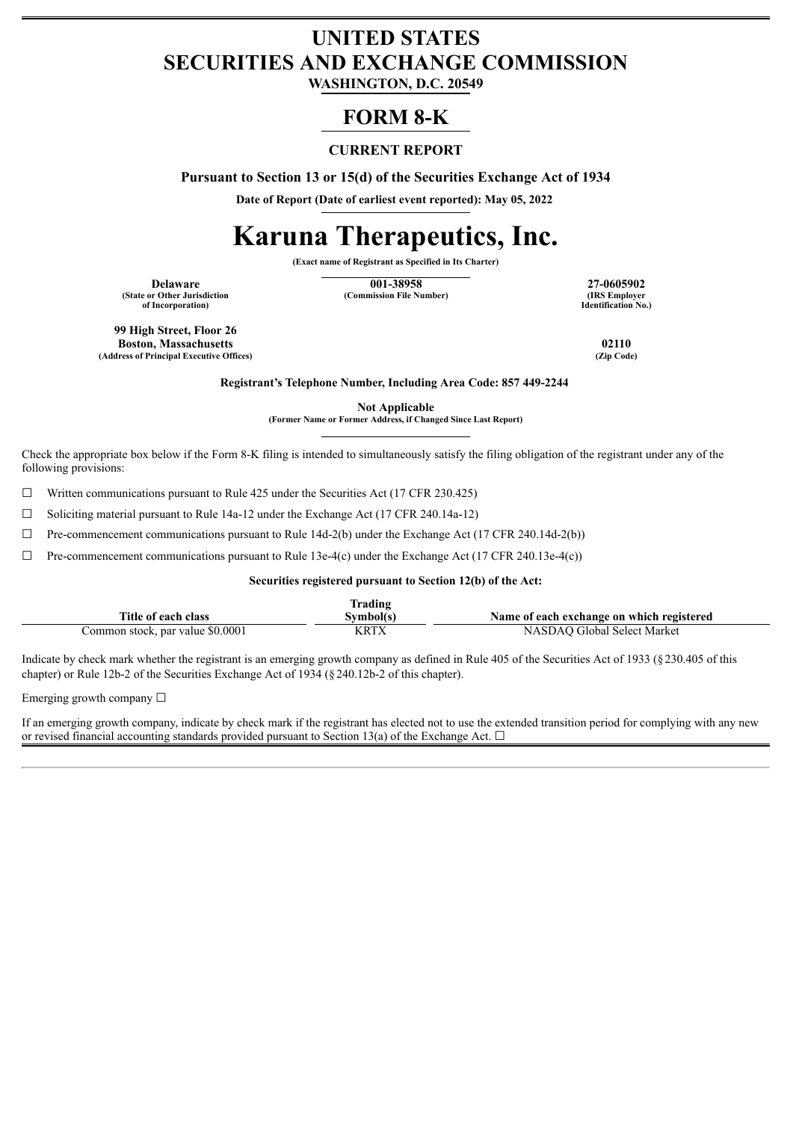## **UNITED STATES SECURITIES AND EXCHANGE COMMISSION**

**WASHINGTON, D.C. 20549**

## **FORM 8-K**

#### **CURRENT REPORT**

**Pursuant to Section 13 or 15(d) of the Securities Exchange Act of 1934**

**Date of Report (Date of earliest event reported): May 05, 2022**

# **Karuna Therapeutics, Inc.**

**(Exact name of Registrant as Specified in Its Charter)**

**(State or Other Jurisdiction of Incorporation)**

**Delaware 127-0605902 138958 27-0605902 27-0605902 27-0605902 27-0605902 (Commission File Number)** 

**Identification No.)**

**99 High Street, Floor 26 Boston, Massachusetts 02110**<br> **Boston, Massachusetts 02110**<br> **CLIP Code (Address of Principal Executive Offices)** 

**Registrant's Telephone Number, Including Area Code: 857 449-2244**

**Not Applicable**

**(Former Name or Former Address, if Changed Since Last Report)**

Check the appropriate box below if the Form 8-K filing is intended to simultaneously satisfy the filing obligation of the registrant under any of the following provisions:

 $\Box$  Written communications pursuant to Rule 425 under the Securities Act (17 CFR 230.425)

☐ Soliciting material pursuant to Rule 14a-12 under the Exchange Act (17 CFR 240.14a-12)

 $\Box$  Pre-commencement communications pursuant to Rule 14d-2(b) under the Exchange Act (17 CFR 240.14d-2(b))

 $\Box$  Pre-commencement communications pursuant to Rule 13e-4(c) under the Exchange Act (17 CFR 240.13e-4(c))

#### **Securities registered pursuant to Section 12(b) of the Act:**

|                                  | rading    |                                           |
|----------------------------------|-----------|-------------------------------------------|
| Title of each class              | Svmbol(s) | Name of each exchange on which registered |
| Common stock, par value \$0.0001 | KRTX      | NASDAO Global Select Market               |

Indicate by check mark whether the registrant is an emerging growth company as defined in Rule 405 of the Securities Act of 1933 (§230.405 of this chapter) or Rule 12b-2 of the Securities Exchange Act of 1934 (§240.12b-2 of this chapter).

Emerging growth company  $\Box$ 

If an emerging growth company, indicate by check mark if the registrant has elected not to use the extended transition period for complying with any new or revised financial accounting standards provided pursuant to Section 13(a) of the Exchange Act.  $\Box$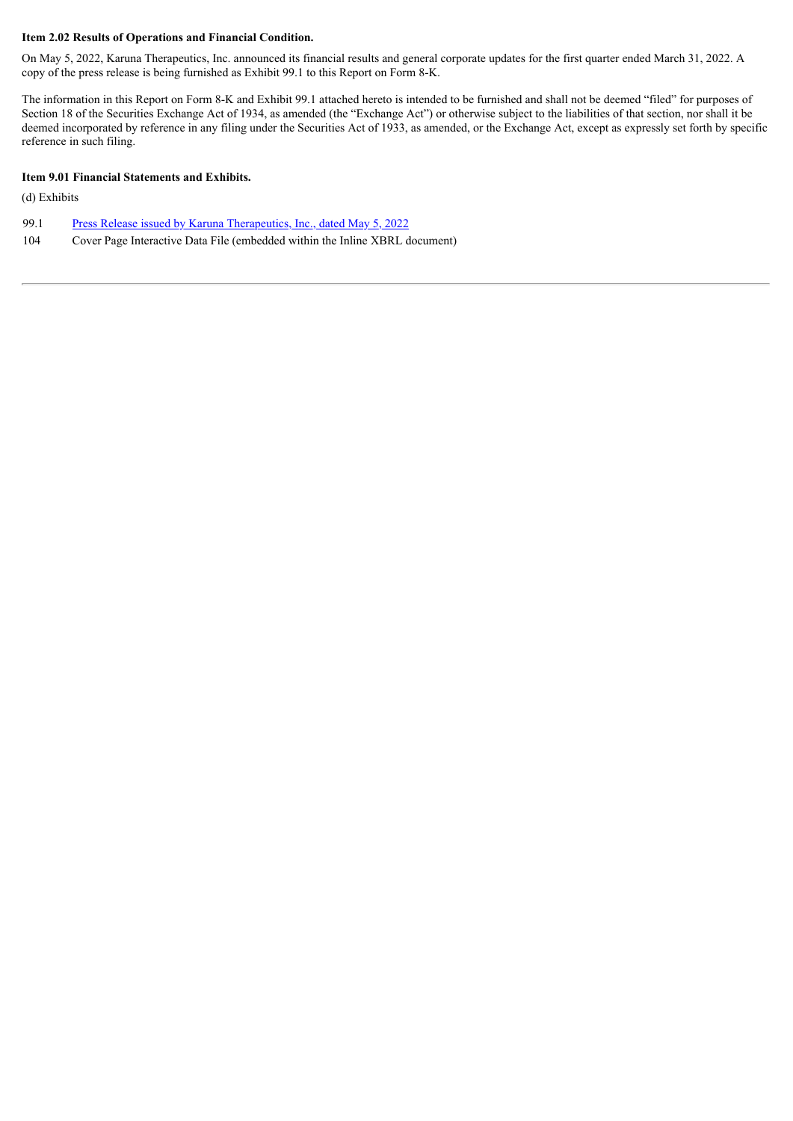#### **Item 2.02 Results of Operations and Financial Condition.**

On May 5, 2022, Karuna Therapeutics, Inc. announced its financial results and general corporate updates for the first quarter ended March 31, 2022. A copy of the press release is being furnished as Exhibit 99.1 to this Report on Form 8-K.

The information in this Report on Form 8-K and Exhibit 99.1 attached hereto is intended to be furnished and shall not be deemed "filed" for purposes of Section 18 of the Securities Exchange Act of 1934, as amended (the "Exchange Act") or otherwise subject to the liabilities of that section, nor shall it be deemed incorporated by reference in any filing under the Securities Act of 1933, as amended, or the Exchange Act, except as expressly set forth by specific reference in such filing.

#### **Item 9.01 Financial Statements and Exhibits.**

(d) Exhibits

- 99.1 Press Release issued by Karuna [Therapeutics,](#page-3-0) Inc., dated May 5, 2022
- 104 Cover Page Interactive Data File (embedded within the Inline XBRL document)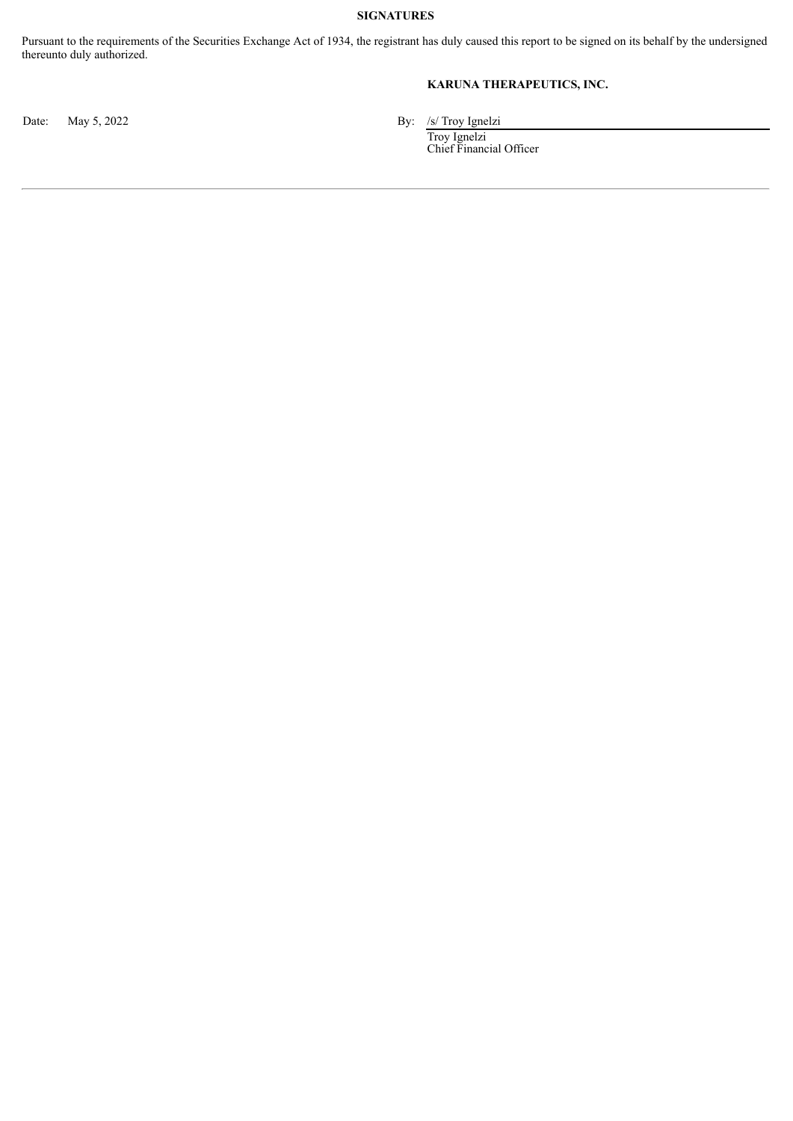#### **SIGNATURES**

Pursuant to the requirements of the Securities Exchange Act of 1934, the registrant has duly caused this report to be signed on its behalf by the undersigned thereunto duly authorized.

#### **KARUNA THERAPEUTICS, INC.**

Date: May 5, 2022 By: /s/ Troy Ignelzi

Troy Ignelzi Chief Financial Officer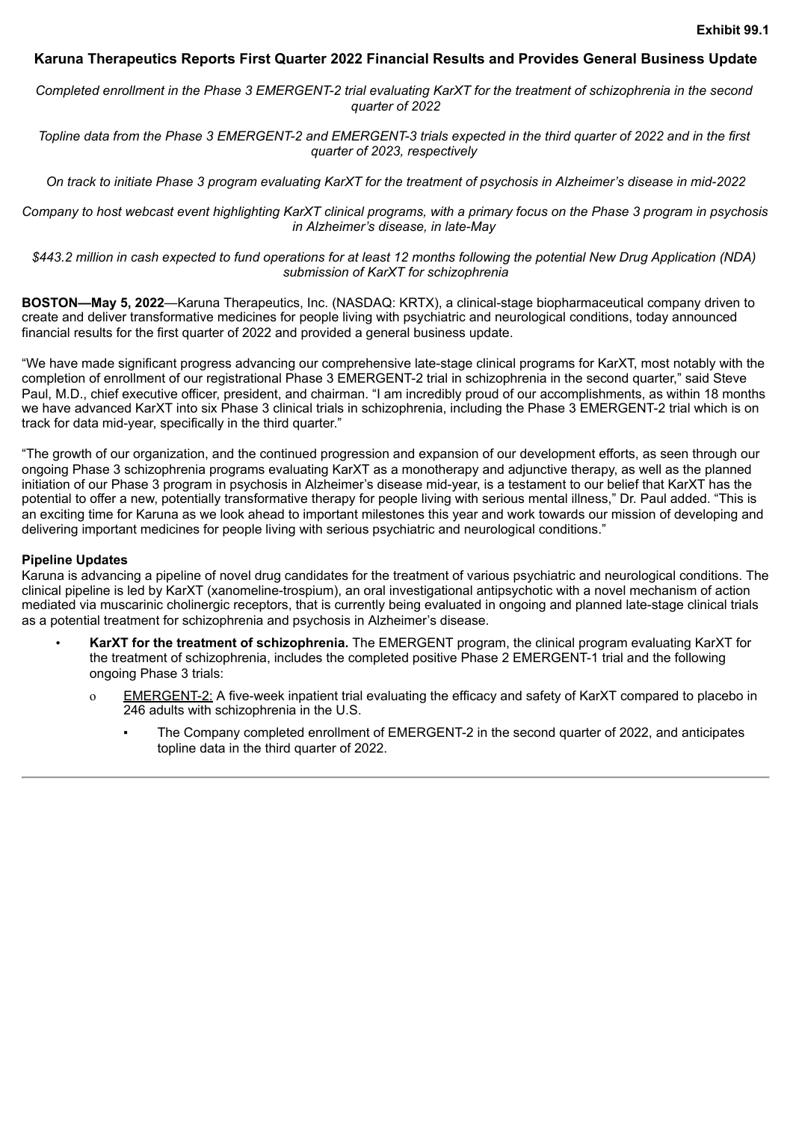#### <span id="page-3-0"></span>**Karuna Therapeutics Reports First Quarter 2022 Financial Results and Provides General Business Update**

Completed enrollment in the Phase 3 EMERGENT-2 trial evaluating KarXT for the treatment of schizophrenia in the second *quarter of 2022*

Topline data from the Phase 3 EMERGENT-2 and EMERGENT-3 trials expected in the third quarter of 2022 and in the first *quarter of 2023, respectively*

On track to initiate Phase 3 program evaluating KarXT for the treatment of psychosis in Alzheimer's disease in mid-2022

Company to host webcast event highlighting KarXT clinical programs, with a primary focus on the Phase 3 program in psychosis *in Alzheimer's disease, in late-May*

\$443.2 million in cash expected to fund operations for at least 12 months following the potential New Drug Application (NDA) *submission of KarXT for schizophrenia*

**BOSTON—May 5, 2022**—Karuna Therapeutics, Inc. (NASDAQ: KRTX), a clinical-stage biopharmaceutical company driven to create and deliver transformative medicines for people living with psychiatric and neurological conditions, today announced financial results for the first quarter of 2022 and provided a general business update.

"We have made significant progress advancing our comprehensive late-stage clinical programs for KarXT, most notably with the completion of enrollment of our registrational Phase 3 EMERGENT-2 trial in schizophrenia in the second quarter," said Steve Paul, M.D., chief executive officer, president, and chairman. "I am incredibly proud of our accomplishments, as within 18 months we have advanced KarXT into six Phase 3 clinical trials in schizophrenia, including the Phase 3 EMERGENT-2 trial which is on track for data mid-year, specifically in the third quarter."

"The growth of our organization, and the continued progression and expansion of our development efforts, as seen through our ongoing Phase 3 schizophrenia programs evaluating KarXT as a monotherapy and adjunctive therapy, as well as the planned initiation of our Phase 3 program in psychosis in Alzheimer's disease mid-year, is a testament to our belief that KarXT has the potential to offer a new, potentially transformative therapy for people living with serious mental illness," Dr. Paul added. "This is an exciting time for Karuna as we look ahead to important milestones this year and work towards our mission of developing and delivering important medicines for people living with serious psychiatric and neurological conditions."

#### **Pipeline Updates**

Karuna is advancing a pipeline of novel drug candidates for the treatment of various psychiatric and neurological conditions. The clinical pipeline is led by KarXT (xanomeline-trospium), an oral investigational antipsychotic with a novel mechanism of action mediated via muscarinic cholinergic receptors, that is currently being evaluated in ongoing and planned late-stage clinical trials as a potential treatment for schizophrenia and psychosis in Alzheimer's disease.

- **KarXT for the treatment of schizophrenia.** The EMERGENT program, the clinical program evaluating KarXT for the treatment of schizophrenia, includes the completed positive Phase 2 EMERGENT-1 trial and the following ongoing Phase 3 trials:
	- o EMERGENT-2: A five-week inpatient trial evaluating the efficacy and safety of KarXT compared to placebo in 246 adults with schizophrenia in the U.S.
		- The Company completed enrollment of EMERGENT-2 in the second quarter of 2022, and anticipates topline data in the third quarter of 2022.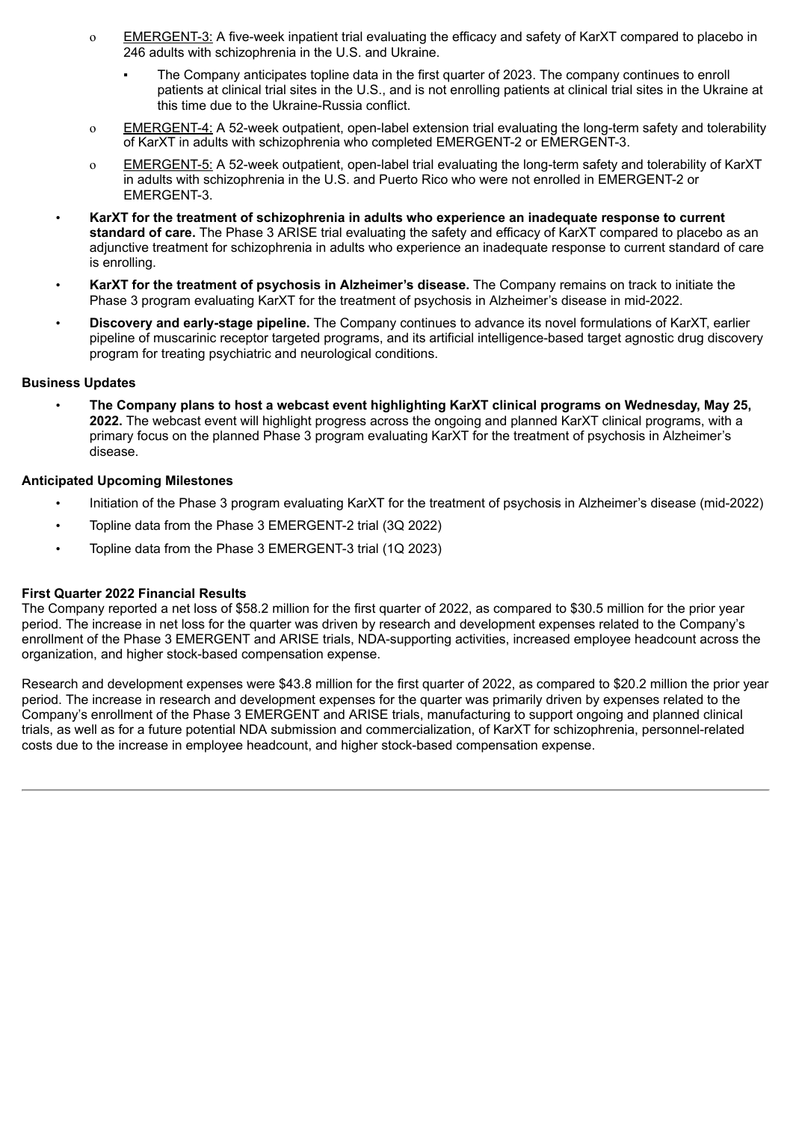- o EMERGENT-3: A five-week inpatient trial evaluating the efficacy and safety of KarXT compared to placebo in 246 adults with schizophrenia in the U.S. and Ukraine.
	- The Company anticipates topline data in the first quarter of 2023. The company continues to enroll patients at clinical trial sites in the U.S., and is not enrolling patients at clinical trial sites in the Ukraine at this time due to the Ukraine-Russia conflict.
- o EMERGENT-4: A 52-week outpatient, open-label extension trial evaluating the long-term safety and tolerability of KarXT in adults with schizophrenia who completed EMERGENT-2 or EMERGENT-3.
- o EMERGENT-5: A 52-week outpatient, open-label trial evaluating the long-term safety and tolerability of KarXT in adults with schizophrenia in the U.S. and Puerto Rico who were not enrolled in EMERGENT-2 or EMERGENT-3.
- **KarXT for the treatment of schizophrenia in adults who experience an inadequate response to current standard of care.** The Phase 3 ARISE trial evaluating the safety and efficacy of KarXT compared to placebo as an adjunctive treatment for schizophrenia in adults who experience an inadequate response to current standard of care is enrolling.
- **KarXT for the treatment of psychosis in Alzheimer's disease.** The Company remains on track to initiate the Phase 3 program evaluating KarXT for the treatment of psychosis in Alzheimer's disease in mid-2022.
- **Discovery and early-stage pipeline.** The Company continues to advance its novel formulations of KarXT, earlier pipeline of muscarinic receptor targeted programs, and its artificial intelligence-based target agnostic drug discovery program for treating psychiatric and neurological conditions.

#### **Business Updates**

• **The Company plans to host a webcast event highlighting KarXT clinical programs on Wednesday, May 25, 2022.** The webcast event will highlight progress across the ongoing and planned KarXT clinical programs, with a primary focus on the planned Phase 3 program evaluating KarXT for the treatment of psychosis in Alzheimer's disease.

#### **Anticipated Upcoming Milestones**

- Initiation of the Phase 3 program evaluating KarXT for the treatment of psychosis in Alzheimer's disease (mid-2022)
- Topline data from the Phase 3 EMERGENT-2 trial (3Q 2022)
- Topline data from the Phase 3 EMERGENT-3 trial (1Q 2023)

#### **First Quarter 2022 Financial Results**

The Company reported a net loss of \$58.2 million for the first quarter of 2022, as compared to \$30.5 million for the prior year period. The increase in net loss for the quarter was driven by research and development expenses related to the Company's enrollment of the Phase 3 EMERGENT and ARISE trials, NDA-supporting activities, increased employee headcount across the organization, and higher stock-based compensation expense.

Research and development expenses were \$43.8 million for the first quarter of 2022, as compared to \$20.2 million the prior year period. The increase in research and development expenses for the quarter was primarily driven by expenses related to the Company's enrollment of the Phase 3 EMERGENT and ARISE trials, manufacturing to support ongoing and planned clinical trials, as well as for a future potential NDA submission and commercialization, of KarXT for schizophrenia, personnel-related costs due to the increase in employee headcount, and higher stock-based compensation expense.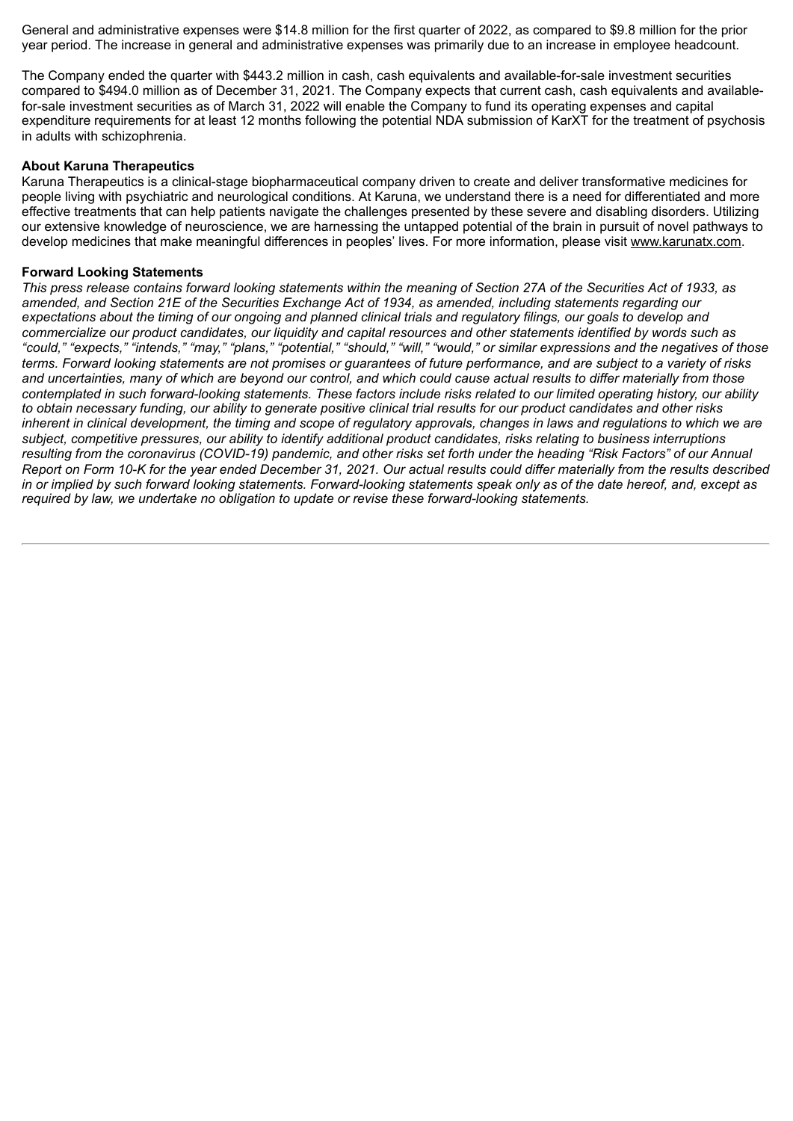General and administrative expenses were \$14.8 million for the first quarter of 2022, as compared to \$9.8 million for the prior year period. The increase in general and administrative expenses was primarily due to an increase in employee headcount.

The Company ended the quarter with \$443.2 million in cash, cash equivalents and available-for-sale investment securities compared to \$494.0 million as of December 31, 2021. The Company expects that current cash, cash equivalents and availablefor-sale investment securities as of March 31, 2022 will enable the Company to fund its operating expenses and capital expenditure requirements for at least 12 months following the potential NDA submission of KarXT for the treatment of psychosis in adults with schizophrenia.

#### **About Karuna Therapeutics**

Karuna Therapeutics is a clinical-stage biopharmaceutical company driven to create and deliver transformative medicines for people living with psychiatric and neurological conditions. At Karuna, we understand there is a need for differentiated and more effective treatments that can help patients navigate the challenges presented by these severe and disabling disorders. Utilizing our extensive knowledge of neuroscience, we are harnessing the untapped potential of the brain in pursuit of novel pathways to develop medicines that make meaningful differences in peoples' lives. For more information, please visit www.karunatx.com.

#### **Forward Looking Statements**

This press release contains forward looking statements within the meaning of Section 27A of the Securities Act of 1933, as amended, and Section 21E of the Securities Exchange Act of 1934, as amended, including statements regarding our expectations about the timing of our ongoing and planned clinical trials and regulatory filings, our goals to develop and commercialize our product candidates, our liquidity and capital resources and other statements identified by words such as "could," "expects," "intends," "may," "plans," "potential," "should," "will," "would," or similar expressions and the negatives of those terms. Forward looking statements are not promises or guarantees of future performance, and are subject to a variety of risks and uncertainties, many of which are beyond our control, and which could cause actual results to differ materially from those contemplated in such forward-looking statements. These factors include risks related to our limited operating history, our ability to obtain necessary funding, our ability to generate positive clinical trial results for our product candidates and other risks inherent in clinical development, the timing and scope of regulatory approvals, changes in laws and regulations to which we are subject, competitive pressures, our ability to identify additional product candidates, risks relating to business interruptions resulting from the coronavirus (COVID-19) pandemic, and other risks set forth under the heading "Risk Factors" of our Annual Report on Form 10-K for the year ended December 31, 2021. Our actual results could differ materially from the results described in or implied by such forward looking statements. Forward-looking statements speak only as of the date hereof, and, except as *required by law, we undertake no obligation to update or revise these forward-looking statements.*